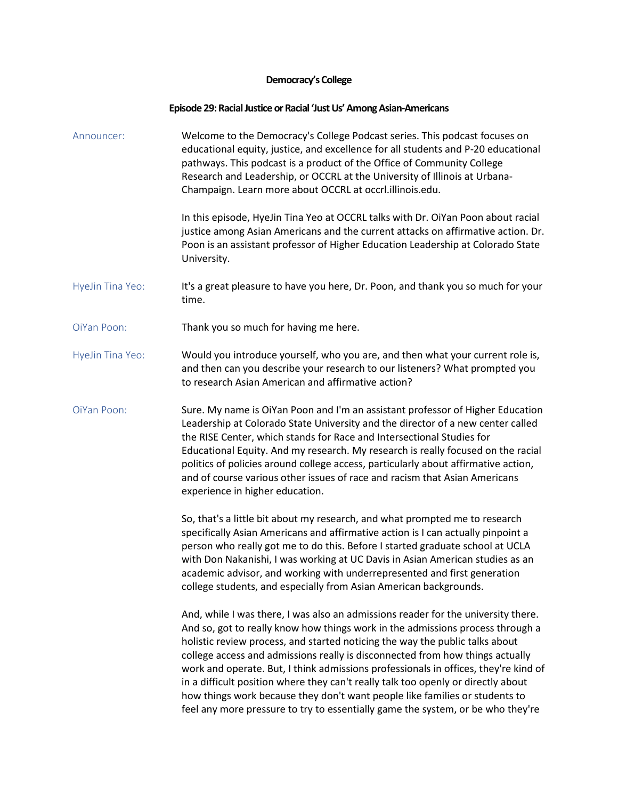## **Democracy's College**

## **Episode 29: Racial Justice or Racial 'Just Us' Among Asian-Americans**

Announcer: Welcome to the Democracy's College Podcast series. This podcast focuses on educational equity, justice, and excellence for all students and P-20 educational pathways. This podcast is a product of the Office of Community College Research and Leadership, or OCCRL at the University of Illinois at Urbana-Champaign. Learn more about OCCRL at occrl.illinois.edu.

> In this episode, HyeJin Tina Yeo at OCCRL talks with Dr. OiYan Poon about racial justice among Asian Americans and the current attacks on affirmative action. Dr. Poon is an assistant professor of Higher Education Leadership at Colorado State University.

- HyeJin Tina Yeo: It's a great pleasure to have you here, Dr. Poon, and thank you so much for your time.
- OiYan Poon: Thank you so much for having me here.
- HyeJin Tina Yeo: Would you introduce yourself, who you are, and then what your current role is, and then can you describe your research to our listeners? What prompted you to research Asian American and affirmative action?
- OiYan Poon: Sure. My name is OiYan Poon and I'm an assistant professor of Higher Education Leadership at Colorado State University and the director of a new center called the RISE Center, which stands for Race and Intersectional Studies for Educational Equity. And my research. My research is really focused on the racial politics of policies around college access, particularly about affirmative action, and of course various other issues of race and racism that Asian Americans experience in higher education.

So, that's a little bit about my research, and what prompted me to research specifically Asian Americans and affirmative action is I can actually pinpoint a person who really got me to do this. Before I started graduate school at UCLA with Don Nakanishi, I was working at UC Davis in Asian American studies as an academic advisor, and working with underrepresented and first generation college students, and especially from Asian American backgrounds.

And, while I was there, I was also an admissions reader for the university there. And so, got to really know how things work in the admissions process through a holistic review process, and started noticing the way the public talks about college access and admissions really is disconnected from how things actually work and operate. But, I think admissions professionals in offices, they're kind of in a difficult position where they can't really talk too openly or directly about how things work because they don't want people like families or students to feel any more pressure to try to essentially game the system, or be who they're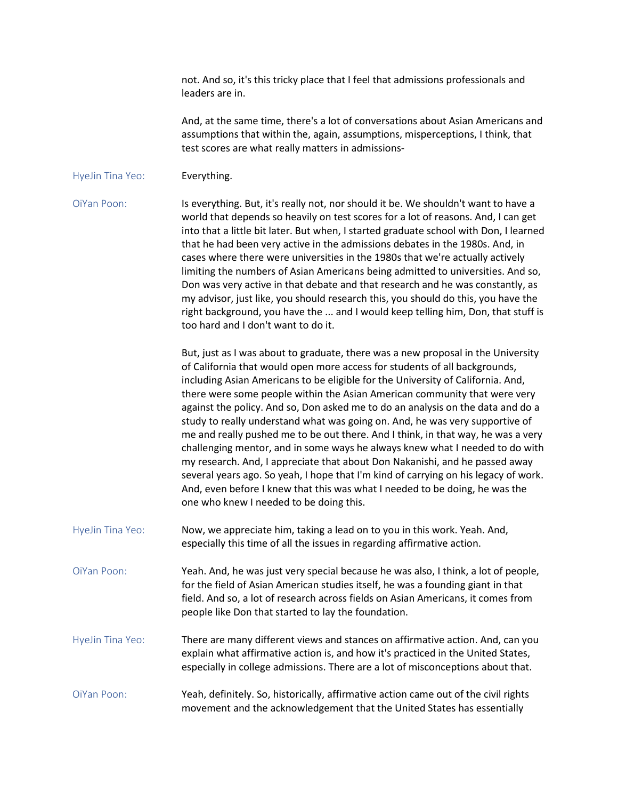not. And so, it's this tricky place that I feel that admissions professionals and leaders are in.

And, at the same time, there's a lot of conversations about Asian Americans and assumptions that within the, again, assumptions, misperceptions, I think, that test scores are what really matters in admissions-

## HyeJin Tina Yeo: **Everything.**

OiYan Poon: Is everything. But, it's really not, nor should it be. We shouldn't want to have a world that depends so heavily on test scores for a lot of reasons. And, I can get into that a little bit later. But when, I started graduate school with Don, I learned that he had been very active in the admissions debates in the 1980s. And, in cases where there were universities in the 1980s that we're actually actively limiting the numbers of Asian Americans being admitted to universities. And so, Don was very active in that debate and that research and he was constantly, as my advisor, just like, you should research this, you should do this, you have the right background, you have the ... and I would keep telling him, Don, that stuff is too hard and I don't want to do it.

> But, just as I was about to graduate, there was a new proposal in the University of California that would open more access for students of all backgrounds, including Asian Americans to be eligible for the University of California. And, there were some people within the Asian American community that were very against the policy. And so, Don asked me to do an analysis on the data and do a study to really understand what was going on. And, he was very supportive of me and really pushed me to be out there. And I think, in that way, he was a very challenging mentor, and in some ways he always knew what I needed to do with my research. And, I appreciate that about Don Nakanishi, and he passed away several years ago. So yeah, I hope that I'm kind of carrying on his legacy of work. And, even before I knew that this was what I needed to be doing, he was the one who knew I needed to be doing this.

HyeJin Tina Yeo: Now, we appreciate him, taking a lead on to you in this work. Yeah. And, especially this time of all the issues in regarding affirmative action.

OiYan Poon: Yeah. And, he was just very special because he was also, I think, a lot of people, for the field of Asian American studies itself, he was a founding giant in that field. And so, a lot of research across fields on Asian Americans, it comes from people like Don that started to lay the foundation.

- HyeJin Tina Yeo: There are many different views and stances on affirmative action. And, can you explain what affirmative action is, and how it's practiced in the United States, especially in college admissions. There are a lot of misconceptions about that.
- OiYan Poon: Yeah, definitely. So, historically, affirmative action came out of the civil rights movement and the acknowledgement that the United States has essentially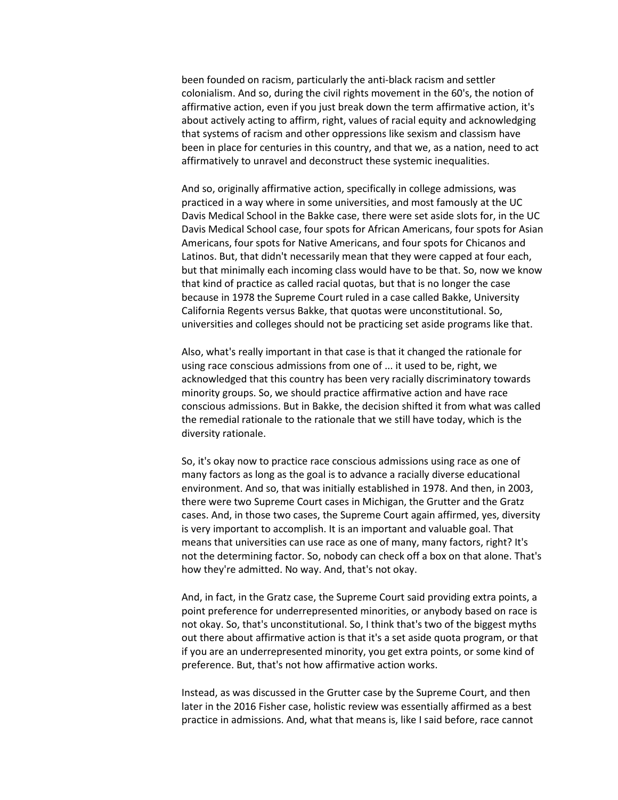been founded on racism, particularly the anti-black racism and settler colonialism. And so, during the civil rights movement in the 60's, the notion of affirmative action, even if you just break down the term affirmative action, it's about actively acting to affirm, right, values of racial equity and acknowledging that systems of racism and other oppressions like sexism and classism have been in place for centuries in this country, and that we, as a nation, need to act affirmatively to unravel and deconstruct these systemic inequalities.

And so, originally affirmative action, specifically in college admissions, was practiced in a way where in some universities, and most famously at the UC Davis Medical School in the Bakke case, there were set aside slots for, in the UC Davis Medical School case, four spots for African Americans, four spots for Asian Americans, four spots for Native Americans, and four spots for Chicanos and Latinos. But, that didn't necessarily mean that they were capped at four each, but that minimally each incoming class would have to be that. So, now we know that kind of practice as called racial quotas, but that is no longer the case because in 1978 the Supreme Court ruled in a case called Bakke, University California Regents versus Bakke, that quotas were unconstitutional. So, universities and colleges should not be practicing set aside programs like that.

Also, what's really important in that case is that it changed the rationale for using race conscious admissions from one of ... it used to be, right, we acknowledged that this country has been very racially discriminatory towards minority groups. So, we should practice affirmative action and have race conscious admissions. But in Bakke, the decision shifted it from what was called the remedial rationale to the rationale that we still have today, which is the diversity rationale.

So, it's okay now to practice race conscious admissions using race as one of many factors as long as the goal is to advance a racially diverse educational environment. And so, that was initially established in 1978. And then, in 2003, there were two Supreme Court cases in Michigan, the Grutter and the Gratz cases. And, in those two cases, the Supreme Court again affirmed, yes, diversity is very important to accomplish. It is an important and valuable goal. That means that universities can use race as one of many, many factors, right? It's not the determining factor. So, nobody can check off a box on that alone. That's how they're admitted. No way. And, that's not okay.

And, in fact, in the Gratz case, the Supreme Court said providing extra points, a point preference for underrepresented minorities, or anybody based on race is not okay. So, that's unconstitutional. So, I think that's two of the biggest myths out there about affirmative action is that it's a set aside quota program, or that if you are an underrepresented minority, you get extra points, or some kind of preference. But, that's not how affirmative action works.

Instead, as was discussed in the Grutter case by the Supreme Court, and then later in the 2016 Fisher case, holistic review was essentially affirmed as a best practice in admissions. And, what that means is, like I said before, race cannot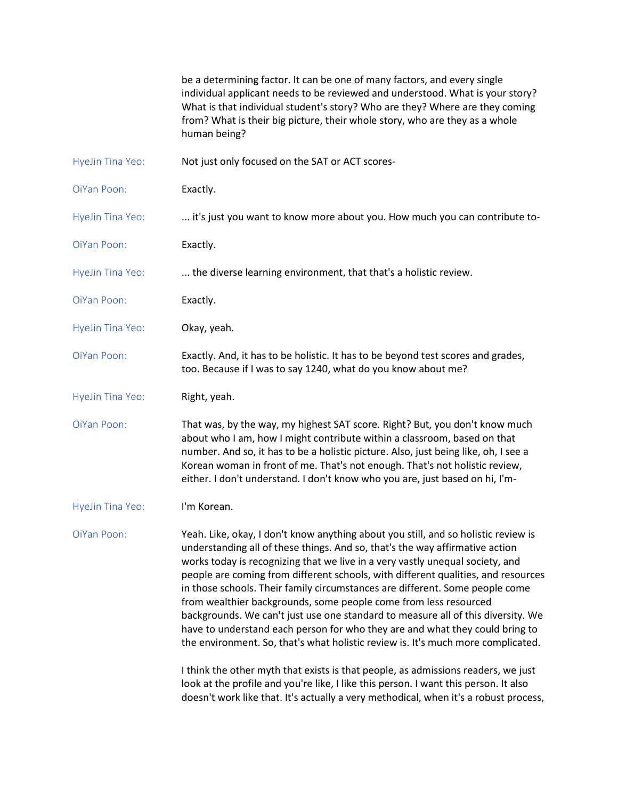be a determining factor. It can be one of many factors, and every single individual applicant needs to be reviewed and understood. What is your story? What is that individual student's story? Who are they? Where are they coming from? What is their big picture, their whole story, who are they as a whole human being?

- HyeJin Tina Yeo: Not just only focused on the SAT or ACT scores-
- OiYan Poon: Exactly.
- HyeJin Tina Yeo: ... it's just you want to know more about you. How much you can contribute to-
- OiYan Poon: Exactly.
- HyeJin Tina Yeo: ... the diverse learning environment, that that's a holistic review.
- OiYan Poon: Exactly.
- HyeJin Tina Yeo: **Okay, yeah.**
- OiYan Poon: Exactly. And, it has to be holistic. It has to be beyond test scores and grades, too. Because if I was to say 1240, what do you know about me?
- HyeJin Tina Yeo: Right, yeah.
- OiYan Poon: That was, by the way, my highest SAT score. Right? But, you don't know much about who I am, how I might contribute within a classroom, based on that number. And so, it has to be a holistic picture. Also, just being like, oh, I see a Korean woman in front of me. That's not enough. That's not holistic review, either. I don't understand. I don't know who you are, just based on hi, I'm-
- HyeJin Tina Yeo: I'm Korean.

OiYan Poon: Yeah. Like, okay, I don't know anything about you still, and so holistic review is understanding all of these things. And so, that's the way affirmative action works today is recognizing that we live in a very vastly unequal society, and people are coming from different schools, with different qualities, and resources in those schools. Their family circumstances are different. Some people come from wealthier backgrounds, some people come from less resourced backgrounds. We can't just use one standard to measure all of this diversity. We have to understand each person for who they are and what they could bring to the environment. So, that's what holistic review is. It's much more complicated.

> I think the other myth that exists is that people, as admissions readers, we just look at the profile and you're like, I like this person. I want this person. It also doesn't work like that. It's actually a very methodical, when it's a robust process,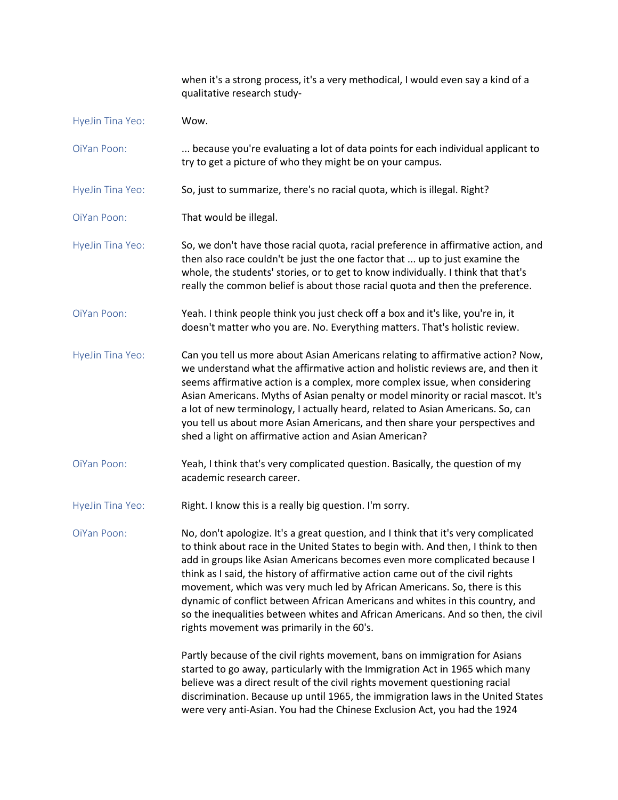|                  | when it's a strong process, it's a very methodical, I would even say a kind of a<br>qualitative research study-                                                                                                                                                                                                                                                                                                                                                                                                                                                                                                                          |
|------------------|------------------------------------------------------------------------------------------------------------------------------------------------------------------------------------------------------------------------------------------------------------------------------------------------------------------------------------------------------------------------------------------------------------------------------------------------------------------------------------------------------------------------------------------------------------------------------------------------------------------------------------------|
| HyeJin Tina Yeo: | Wow.                                                                                                                                                                                                                                                                                                                                                                                                                                                                                                                                                                                                                                     |
| OiYan Poon:      | because you're evaluating a lot of data points for each individual applicant to<br>try to get a picture of who they might be on your campus.                                                                                                                                                                                                                                                                                                                                                                                                                                                                                             |
| HyeJin Tina Yeo: | So, just to summarize, there's no racial quota, which is illegal. Right?                                                                                                                                                                                                                                                                                                                                                                                                                                                                                                                                                                 |
| OiYan Poon:      | That would be illegal.                                                                                                                                                                                                                                                                                                                                                                                                                                                                                                                                                                                                                   |
| HyeJin Tina Yeo: | So, we don't have those racial quota, racial preference in affirmative action, and<br>then also race couldn't be just the one factor that  up to just examine the<br>whole, the students' stories, or to get to know individually. I think that that's<br>really the common belief is about those racial quota and then the preference.                                                                                                                                                                                                                                                                                                  |
| OiYan Poon:      | Yeah. I think people think you just check off a box and it's like, you're in, it<br>doesn't matter who you are. No. Everything matters. That's holistic review.                                                                                                                                                                                                                                                                                                                                                                                                                                                                          |
| HyeJin Tina Yeo: | Can you tell us more about Asian Americans relating to affirmative action? Now,<br>we understand what the affirmative action and holistic reviews are, and then it<br>seems affirmative action is a complex, more complex issue, when considering<br>Asian Americans. Myths of Asian penalty or model minority or racial mascot. It's<br>a lot of new terminology, I actually heard, related to Asian Americans. So, can<br>you tell us about more Asian Americans, and then share your perspectives and<br>shed a light on affirmative action and Asian American?                                                                       |
| OiYan Poon:      | Yeah, I think that's very complicated question. Basically, the question of my<br>academic research career.                                                                                                                                                                                                                                                                                                                                                                                                                                                                                                                               |
| HyeJin Tina Yeo: | Right. I know this is a really big question. I'm sorry.                                                                                                                                                                                                                                                                                                                                                                                                                                                                                                                                                                                  |
| OiYan Poon:      | No, don't apologize. It's a great question, and I think that it's very complicated<br>to think about race in the United States to begin with. And then, I think to then<br>add in groups like Asian Americans becomes even more complicated because I<br>think as I said, the history of affirmative action came out of the civil rights<br>movement, which was very much led by African Americans. So, there is this<br>dynamic of conflict between African Americans and whites in this country, and<br>so the inequalities between whites and African Americans. And so then, the civil<br>rights movement was primarily in the 60's. |
|                  | Partly because of the civil rights movement, bans on immigration for Asians<br>started to go away, particularly with the Immigration Act in 1965 which many<br>believe was a direct result of the civil rights movement questioning racial<br>discrimination. Because up until 1965, the immigration laws in the United States<br>were very anti-Asian. You had the Chinese Exclusion Act, you had the 1924                                                                                                                                                                                                                              |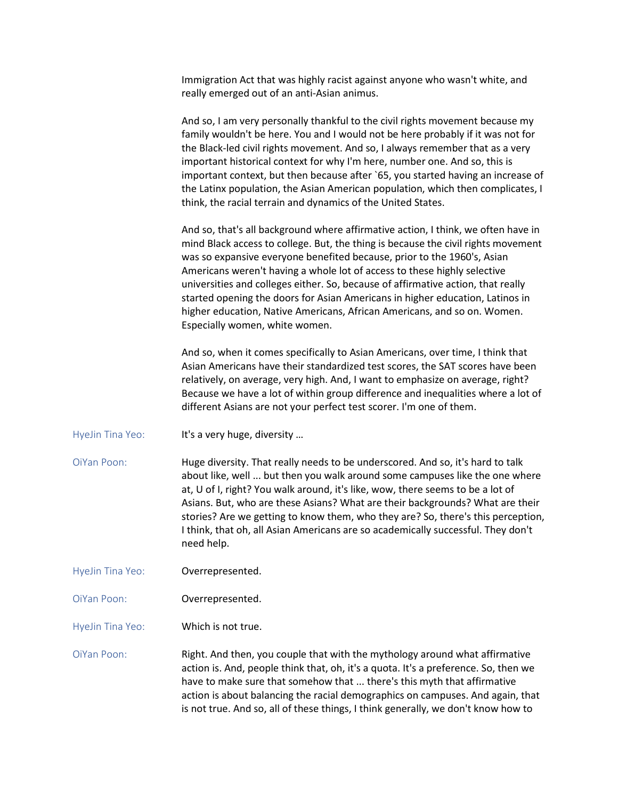Immigration Act that was highly racist against anyone who wasn't white, and really emerged out of an anti-Asian animus.

And so, I am very personally thankful to the civil rights movement because my family wouldn't be here. You and I would not be here probably if it was not for the Black-led civil rights movement. And so, I always remember that as a very important historical context for why I'm here, number one. And so, this is important context, but then because after `65, you started having an increase of the Latinx population, the Asian American population, which then complicates, I think, the racial terrain and dynamics of the United States.

And so, that's all background where affirmative action, I think, we often have in mind Black access to college. But, the thing is because the civil rights movement was so expansive everyone benefited because, prior to the 1960's, Asian Americans weren't having a whole lot of access to these highly selective universities and colleges either. So, because of affirmative action, that really started opening the doors for Asian Americans in higher education, Latinos in higher education, Native Americans, African Americans, and so on. Women. Especially women, white women.

And so, when it comes specifically to Asian Americans, over time, I think that Asian Americans have their standardized test scores, the SAT scores have been relatively, on average, very high. And, I want to emphasize on average, right? Because we have a lot of within group difference and inequalities where a lot of different Asians are not your perfect test scorer. I'm one of them.

HyeJin Tina Yeo: It's a very huge, diversity ...

OiYan Poon: Huge diversity. That really needs to be underscored. And so, it's hard to talk about like, well ... but then you walk around some campuses like the one where at, U of I, right? You walk around, it's like, wow, there seems to be a lot of Asians. But, who are these Asians? What are their backgrounds? What are their stories? Are we getting to know them, who they are? So, there's this perception, I think, that oh, all Asian Americans are so academically successful. They don't need help.

HyeJin Tina Yeo: **Overrepresented.** 

OiYan Poon: Overrepresented.

HyeJin Tina Yeo: Which is not true.

OiYan Poon: Right. And then, you couple that with the mythology around what affirmative action is. And, people think that, oh, it's a quota. It's a preference. So, then we have to make sure that somehow that ... there's this myth that affirmative action is about balancing the racial demographics on campuses. And again, that is not true. And so, all of these things, I think generally, we don't know how to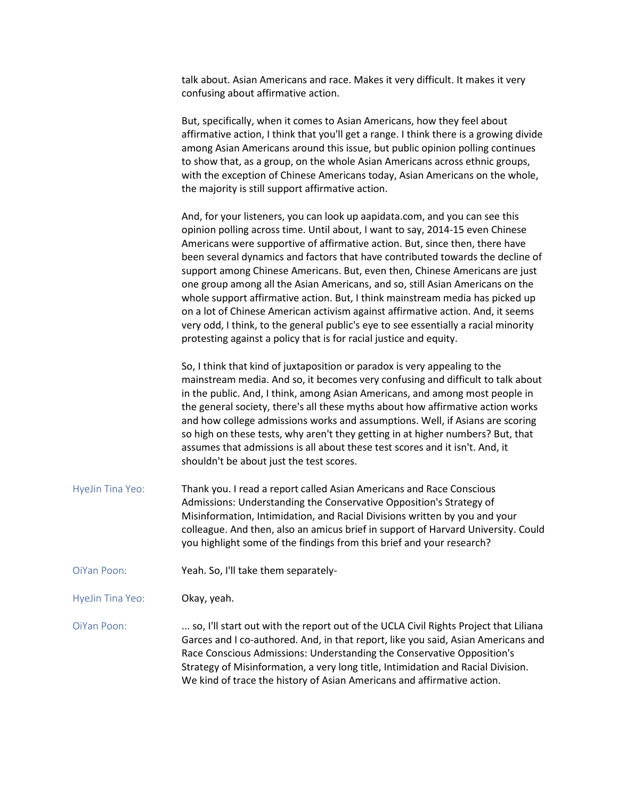talk about. Asian Americans and race. Makes it very difficult. It makes it very confusing about affirmative action.

But, specifically, when it comes to Asian Americans, how they feel about affirmative action, I think that you'll get a range. I think there is a growing divide among Asian Americans around this issue, but public opinion polling continues to show that, as a group, on the whole Asian Americans across ethnic groups, with the exception of Chinese Americans today, Asian Americans on the whole, the majority is still support affirmative action.

And, for your listeners, you can look up aapidata.com, and you can see this opinion polling across time. Until about, I want to say, 2014-15 even Chinese Americans were supportive of affirmative action. But, since then, there have been several dynamics and factors that have contributed towards the decline of support among Chinese Americans. But, even then, Chinese Americans are just one group among all the Asian Americans, and so, still Asian Americans on the whole support affirmative action. But, I think mainstream media has picked up on a lot of Chinese American activism against affirmative action. And, it seems very odd, I think, to the general public's eye to see essentially a racial minority protesting against a policy that is for racial justice and equity.

So, I think that kind of juxtaposition or paradox is very appealing to the mainstream media. And so, it becomes very confusing and difficult to talk about in the public. And, I think, among Asian Americans, and among most people in the general society, there's all these myths about how affirmative action works and how college admissions works and assumptions. Well, if Asians are scoring so high on these tests, why aren't they getting in at higher numbers? But, that assumes that admissions is all about these test scores and it isn't. And, it shouldn't be about just the test scores.

- HyeJin Tina Yeo: Thank you. I read a report called Asian Americans and Race Conscious Admissions: Understanding the Conservative Opposition's Strategy of Misinformation, Intimidation, and Racial Divisions written by you and your colleague. And then, also an amicus brief in support of Harvard University. Could you highlight some of the findings from this brief and your research?
- OiYan Poon: Yeah. So, I'll take them separately-

HyeJin Tina Yeo: **Okay, yeah.** 

OiYan Poon: ... so, I'll start out with the report out of the UCLA Civil Rights Project that Liliana Garces and I co-authored. And, in that report, like you said, Asian Americans and Race Conscious Admissions: Understanding the Conservative Opposition's Strategy of Misinformation, a very long title, Intimidation and Racial Division. We kind of trace the history of Asian Americans and affirmative action.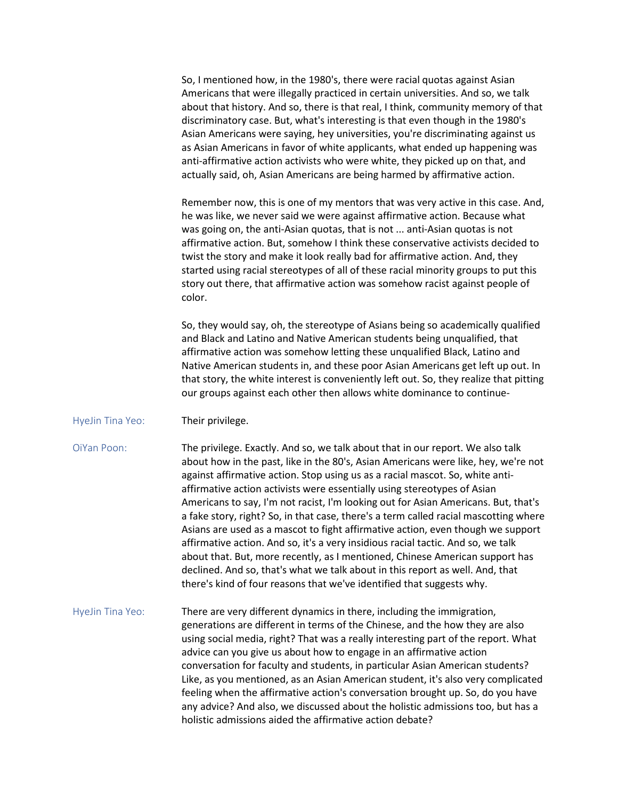So, I mentioned how, in the 1980's, there were racial quotas against Asian Americans that were illegally practiced in certain universities. And so, we talk about that history. And so, there is that real, I think, community memory of that discriminatory case. But, what's interesting is that even though in the 1980's Asian Americans were saying, hey universities, you're discriminating against us as Asian Americans in favor of white applicants, what ended up happening was anti-affirmative action activists who were white, they picked up on that, and actually said, oh, Asian Americans are being harmed by affirmative action.

Remember now, this is one of my mentors that was very active in this case. And, he was like, we never said we were against affirmative action. Because what was going on, the anti-Asian quotas, that is not ... anti-Asian quotas is not affirmative action. But, somehow I think these conservative activists decided to twist the story and make it look really bad for affirmative action. And, they started using racial stereotypes of all of these racial minority groups to put this story out there, that affirmative action was somehow racist against people of color.

So, they would say, oh, the stereotype of Asians being so academically qualified and Black and Latino and Native American students being unqualified, that affirmative action was somehow letting these unqualified Black, Latino and Native American students in, and these poor Asian Americans get left up out. In that story, the white interest is conveniently left out. So, they realize that pitting our groups against each other then allows white dominance to continue-

- HyeJin Tina Yeo: Their privilege.
- OiYan Poon: The privilege. Exactly. And so, we talk about that in our report. We also talk about how in the past, like in the 80's, Asian Americans were like, hey, we're not against affirmative action. Stop using us as a racial mascot. So, white antiaffirmative action activists were essentially using stereotypes of Asian Americans to say, I'm not racist, I'm looking out for Asian Americans. But, that's a fake story, right? So, in that case, there's a term called racial mascotting where Asians are used as a mascot to fight affirmative action, even though we support affirmative action. And so, it's a very insidious racial tactic. And so, we talk about that. But, more recently, as I mentioned, Chinese American support has declined. And so, that's what we talk about in this report as well. And, that there's kind of four reasons that we've identified that suggests why.
- HyeJin Tina Yeo: There are very different dynamics in there, including the immigration, generations are different in terms of the Chinese, and the how they are also using social media, right? That was a really interesting part of the report. What advice can you give us about how to engage in an affirmative action conversation for faculty and students, in particular Asian American students? Like, as you mentioned, as an Asian American student, it's also very complicated feeling when the affirmative action's conversation brought up. So, do you have any advice? And also, we discussed about the holistic admissions too, but has a holistic admissions aided the affirmative action debate?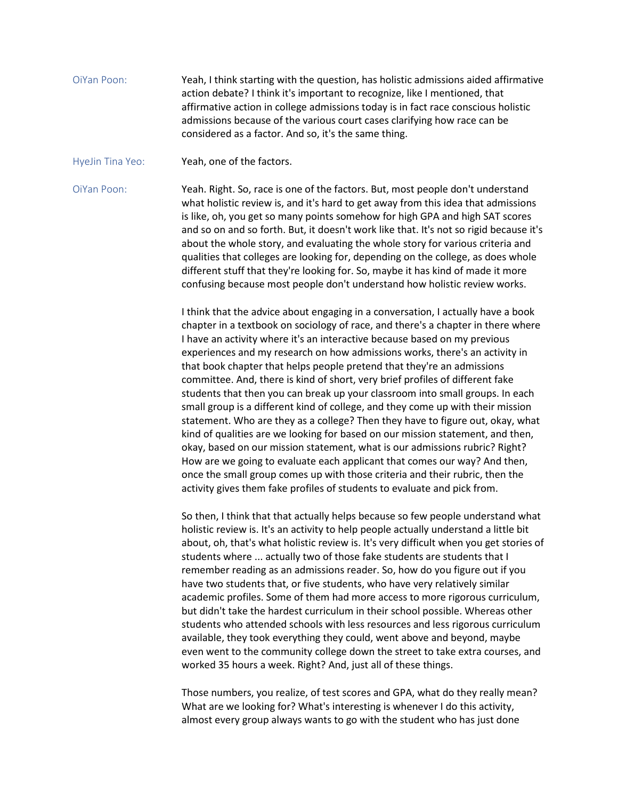- OiYan Poon: Yeah, I think starting with the question, has holistic admissions aided affirmative action debate? I think it's important to recognize, like I mentioned, that affirmative action in college admissions today is in fact race conscious holistic admissions because of the various court cases clarifying how race can be considered as a factor. And so, it's the same thing.
- HyeJin Tina Yeo: Yeah, one of the factors.

OiYan Poon: Yeah. Right. So, race is one of the factors. But, most people don't understand what holistic review is, and it's hard to get away from this idea that admissions is like, oh, you get so many points somehow for high GPA and high SAT scores and so on and so forth. But, it doesn't work like that. It's not so rigid because it's about the whole story, and evaluating the whole story for various criteria and qualities that colleges are looking for, depending on the college, as does whole different stuff that they're looking for. So, maybe it has kind of made it more confusing because most people don't understand how holistic review works.

> I think that the advice about engaging in a conversation, I actually have a book chapter in a textbook on sociology of race, and there's a chapter in there where I have an activity where it's an interactive because based on my previous experiences and my research on how admissions works, there's an activity in that book chapter that helps people pretend that they're an admissions committee. And, there is kind of short, very brief profiles of different fake students that then you can break up your classroom into small groups. In each small group is a different kind of college, and they come up with their mission statement. Who are they as a college? Then they have to figure out, okay, what kind of qualities are we looking for based on our mission statement, and then, okay, based on our mission statement, what is our admissions rubric? Right? How are we going to evaluate each applicant that comes our way? And then, once the small group comes up with those criteria and their rubric, then the activity gives them fake profiles of students to evaluate and pick from.

So then, I think that that actually helps because so few people understand what holistic review is. It's an activity to help people actually understand a little bit about, oh, that's what holistic review is. It's very difficult when you get stories of students where ... actually two of those fake students are students that I remember reading as an admissions reader. So, how do you figure out if you have two students that, or five students, who have very relatively similar academic profiles. Some of them had more access to more rigorous curriculum, but didn't take the hardest curriculum in their school possible. Whereas other students who attended schools with less resources and less rigorous curriculum available, they took everything they could, went above and beyond, maybe even went to the community college down the street to take extra courses, and worked 35 hours a week. Right? And, just all of these things.

Those numbers, you realize, of test scores and GPA, what do they really mean? What are we looking for? What's interesting is whenever I do this activity, almost every group always wants to go with the student who has just done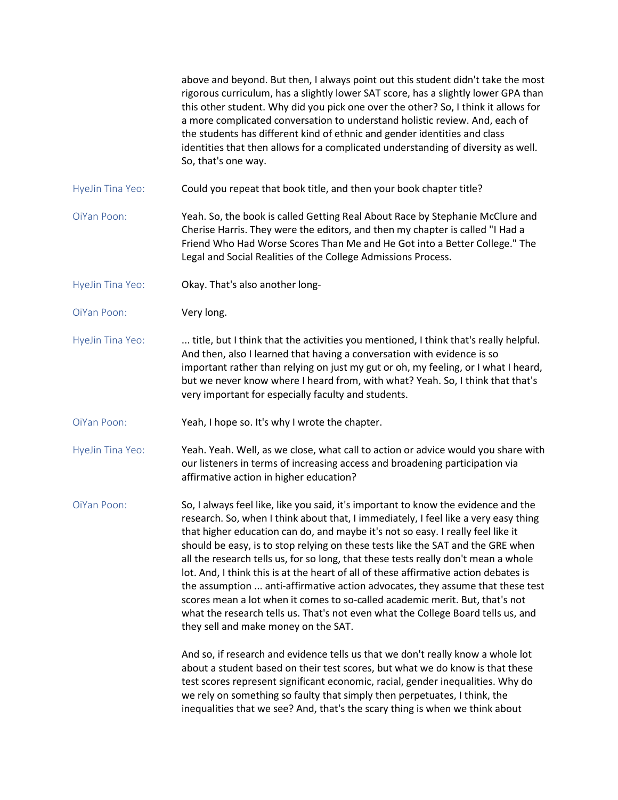|                  | above and beyond. But then, I always point out this student didn't take the most<br>rigorous curriculum, has a slightly lower SAT score, has a slightly lower GPA than<br>this other student. Why did you pick one over the other? So, I think it allows for<br>a more complicated conversation to understand holistic review. And, each of<br>the students has different kind of ethnic and gender identities and class<br>identities that then allows for a complicated understanding of diversity as well.<br>So, that's one way.                                                                                                                                                                                                                                                                                        |
|------------------|-----------------------------------------------------------------------------------------------------------------------------------------------------------------------------------------------------------------------------------------------------------------------------------------------------------------------------------------------------------------------------------------------------------------------------------------------------------------------------------------------------------------------------------------------------------------------------------------------------------------------------------------------------------------------------------------------------------------------------------------------------------------------------------------------------------------------------|
| HyeJin Tina Yeo: | Could you repeat that book title, and then your book chapter title?                                                                                                                                                                                                                                                                                                                                                                                                                                                                                                                                                                                                                                                                                                                                                         |
| OiYan Poon:      | Yeah. So, the book is called Getting Real About Race by Stephanie McClure and<br>Cherise Harris. They were the editors, and then my chapter is called "I Had a<br>Friend Who Had Worse Scores Than Me and He Got into a Better College." The<br>Legal and Social Realities of the College Admissions Process.                                                                                                                                                                                                                                                                                                                                                                                                                                                                                                               |
| HyeJin Tina Yeo: | Okay. That's also another long-                                                                                                                                                                                                                                                                                                                                                                                                                                                                                                                                                                                                                                                                                                                                                                                             |
| OiYan Poon:      | Very long.                                                                                                                                                                                                                                                                                                                                                                                                                                                                                                                                                                                                                                                                                                                                                                                                                  |
| HyeJin Tina Yeo: | title, but I think that the activities you mentioned, I think that's really helpful.<br>And then, also I learned that having a conversation with evidence is so<br>important rather than relying on just my gut or oh, my feeling, or I what I heard,<br>but we never know where I heard from, with what? Yeah. So, I think that that's<br>very important for especially faculty and students.                                                                                                                                                                                                                                                                                                                                                                                                                              |
| OiYan Poon:      | Yeah, I hope so. It's why I wrote the chapter.                                                                                                                                                                                                                                                                                                                                                                                                                                                                                                                                                                                                                                                                                                                                                                              |
| HyeJin Tina Yeo: | Yeah. Yeah. Well, as we close, what call to action or advice would you share with<br>our listeners in terms of increasing access and broadening participation via<br>affirmative action in higher education?                                                                                                                                                                                                                                                                                                                                                                                                                                                                                                                                                                                                                |
| OiYan Poon:      | So, I always feel like, like you said, it's important to know the evidence and the<br>research. So, when I think about that, I immediately, I feel like a very easy thing<br>that higher education can do, and maybe it's not so easy. I really feel like it<br>should be easy, is to stop relying on these tests like the SAT and the GRE when<br>all the research tells us, for so long, that these tests really don't mean a whole<br>lot. And, I think this is at the heart of all of these affirmative action debates is<br>the assumption  anti-affirmative action advocates, they assume that these test<br>scores mean a lot when it comes to so-called academic merit. But, that's not<br>what the research tells us. That's not even what the College Board tells us, and<br>they sell and make money on the SAT. |
|                  | And so, if research and evidence tells us that we don't really know a whole lot<br>about a student based on their test scores, but what we do know is that these<br>test scores represent significant economic, racial, gender inequalities. Why do<br>we rely on something so faulty that simply then perpetuates, I think, the<br>inequalities that we see? And, that's the scary thing is when we think about                                                                                                                                                                                                                                                                                                                                                                                                            |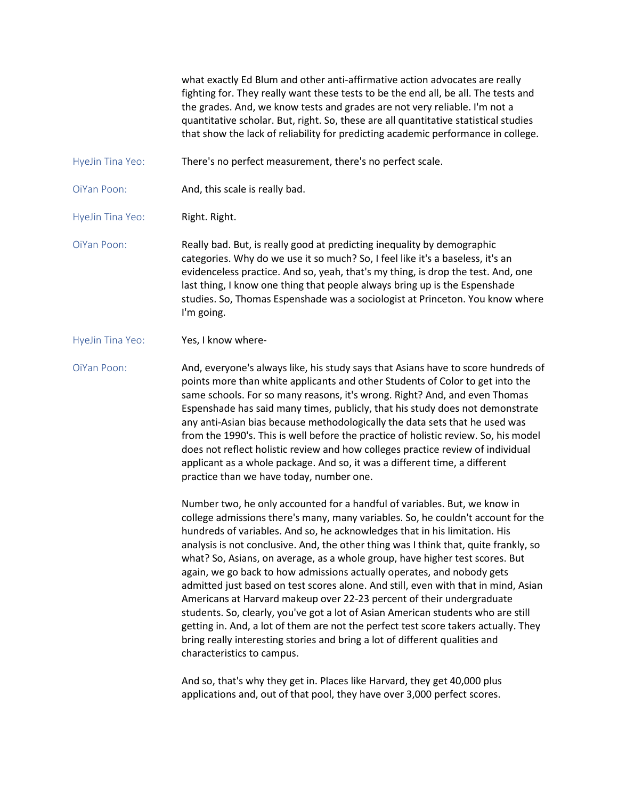what exactly Ed Blum and other anti-affirmative action advocates are really fighting for. They really want these tests to be the end all, be all. The tests and the grades. And, we know tests and grades are not very reliable. I'm not a quantitative scholar. But, right. So, these are all quantitative statistical studies that show the lack of reliability for predicting academic performance in college.

- HyeJin Tina Yeo: There's no perfect measurement, there's no perfect scale.
- OiYan Poon: **And, this scale is really bad.**

HyeJin Tina Yeo: Right. Right.

- OiYan Poon: Really bad. But, is really good at predicting inequality by demographic categories. Why do we use it so much? So, I feel like it's a baseless, it's an evidenceless practice. And so, yeah, that's my thing, is drop the test. And, one last thing, I know one thing that people always bring up is the Espenshade studies. So, Thomas Espenshade was a sociologist at Princeton. You know where I'm going.
- HyeJin Tina Yeo: Yes, I know where-

OiYan Poon: And, everyone's always like, his study says that Asians have to score hundreds of points more than white applicants and other Students of Color to get into the same schools. For so many reasons, it's wrong. Right? And, and even Thomas Espenshade has said many times, publicly, that his study does not demonstrate any anti-Asian bias because methodologically the data sets that he used was from the 1990's. This is well before the practice of holistic review. So, his model does not reflect holistic review and how colleges practice review of individual applicant as a whole package. And so, it was a different time, a different practice than we have today, number one.

> Number two, he only accounted for a handful of variables. But, we know in college admissions there's many, many variables. So, he couldn't account for the hundreds of variables. And so, he acknowledges that in his limitation. His analysis is not conclusive. And, the other thing was I think that, quite frankly, so what? So, Asians, on average, as a whole group, have higher test scores. But again, we go back to how admissions actually operates, and nobody gets admitted just based on test scores alone. And still, even with that in mind, Asian Americans at Harvard makeup over 22-23 percent of their undergraduate students. So, clearly, you've got a lot of Asian American students who are still getting in. And, a lot of them are not the perfect test score takers actually. They bring really interesting stories and bring a lot of different qualities and characteristics to campus.

And so, that's why they get in. Places like Harvard, they get 40,000 plus applications and, out of that pool, they have over 3,000 perfect scores.